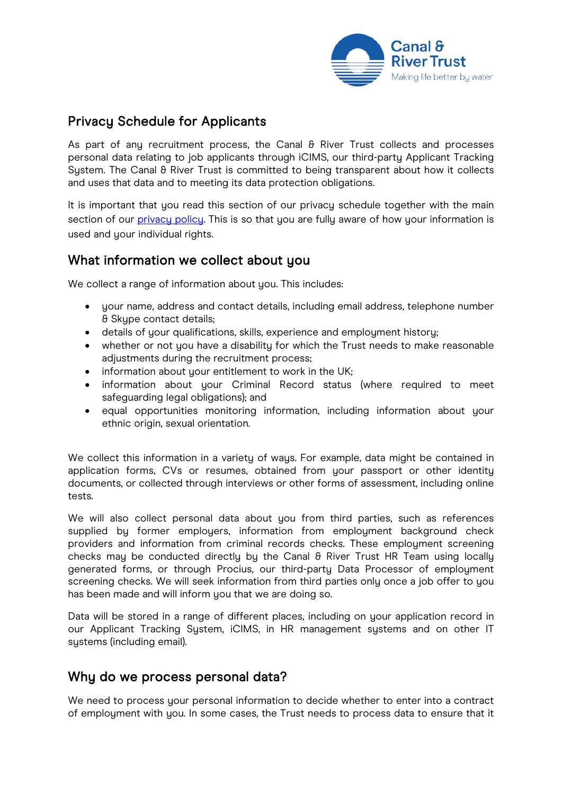

# Privacy Schedule for Applicants

As part of any recruitment process, the Canal  $\theta$  River Trust collects and processes personal data relating to job applicants through iCIMS, our third-party Applicant Tracking System. The Canal & River Trust is committed to being transparent about how it collects and uses that data and to meeting its data protection obligations.

It is important that you read this section of our privacy schedule together with the main section of our [privacy policy.](https://canalrivertrust.org.uk/cookie-and-privacy-policy) This is so that you are fully aware of how your information is used and your individual rights.

### What information we collect about you

We collect a range of information about you. This includes:

- your name, address and contact details, including email address, telephone number & Skype contact details;
- details of your qualifications, skills, experience and employment history;
- whether or not you have a disability for which the Trust needs to make reasonable adjustments during the recruitment process;
- information about your entitlement to work in the UK;
- information about your Criminal Record status (where required to meet safeguarding legal obligations); and
- equal opportunities monitoring information, including information about your ethnic origin, sexual orientation.

We collect this information in a variety of ways. For example, data might be contained in application forms, CVs or resumes, obtained from your passport or other identity documents, or collected through interviews or other forms of assessment, including online tests.

We will also collect personal data about you from third parties, such as references supplied by former employers, information from employment background check providers and information from criminal records checks. These employment screening checks may be conducted directly by the Canal  $\theta$  River Trust HR Team using locally generated forms, or through Procius, our third-party Data Processor of employment screening checks. We will seek information from third parties only once a job offer to you has been made and will inform you that we are doing so.

Data will be stored in a range of different places, including on your application record in our Applicant Tracking System, iCIMS, in HR management systems and on other IT systems (including email).

#### Why do we process personal data?

We need to process your personal information to decide whether to enter into a contract of employment with you. In some cases, the Trust needs to process data to ensure that it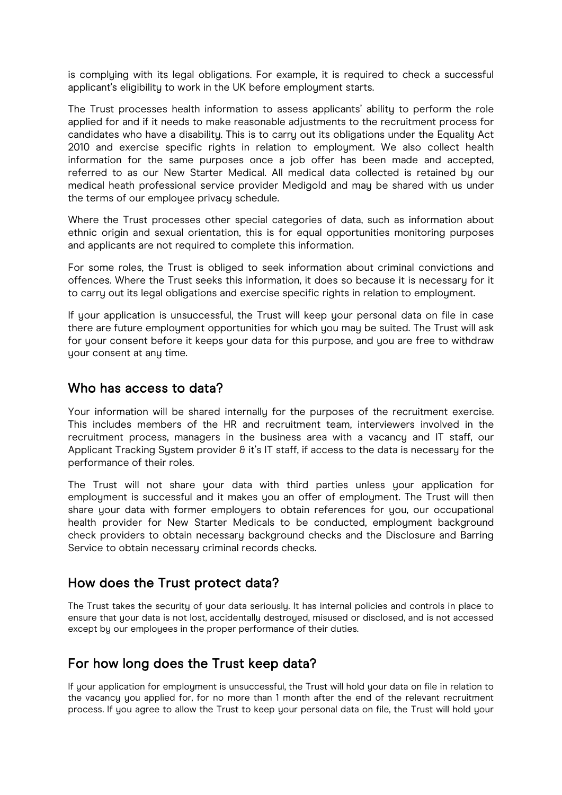is complying with its legal obligations. For example, it is required to check a successful applicant's eligibility to work in the UK before employment starts.

The Trust processes health information to assess applicants' ability to perform the role applied for and if it needs to make reasonable adjustments to the recruitment process for candidates who have a disability. This is to carry out its obligations under the Equality Act 2010 and exercise specific rights in relation to employment. We also collect health information for the same purposes once a job offer has been made and accepted, referred to as our New Starter Medical. All medical data collected is retained by our medical heath professional service provider Medigold and may be shared with us under the terms of our employee privacy schedule.

Where the Trust processes other special categories of data, such as information about ethnic origin and sexual orientation, this is for equal opportunities monitoring purposes and applicants are not required to complete this information.

For some roles, the Trust is obliged to seek information about criminal convictions and offences. Where the Trust seeks this information, it does so because it is necessary for it to carry out its legal obligations and exercise specific rights in relation to employment.

If your application is unsuccessful, the Trust will keep your personal data on file in case there are future employment opportunities for which you may be suited. The Trust will ask for your consent before it keeps your data for this purpose, and you are free to withdraw your consent at any time.

#### Who has access to data?

Your information will be shared internally for the purposes of the recruitment exercise. This includes members of the HR and recruitment team, interviewers involved in the recruitment process, managers in the business area with a vacancy and IT staff, our Applicant Tracking Sustem provider & it's IT staff, if access to the data is necessary for the performance of their roles.

The Trust will not share your data with third parties unless your application for employment is successful and it makes you an offer of employment. The Trust will then share your data with former employers to obtain references for you, our occupational health provider for New Starter Medicals to be conducted, employment background check providers to obtain necessary background checks and the Disclosure and Barring Service to obtain necessary criminal records checks.

### How does the Trust protect data?

The Trust takes the securitu of your data seriously. It has internal policies and controls in place to ensure that your data is not lost, accidentally destroyed, misused or disclosed, and is not accessed except by our employees in the proper performance of their duties.

# For how long does the Trust keep data?

If your application for employment is unsuccessful, the Trust will hold your data on file in relation to the vacancy you applied for, for no more than 1 month after the end of the relevant recruitment process. If you agree to allow the Trust to keep your personal data on file, the Trust will hold your